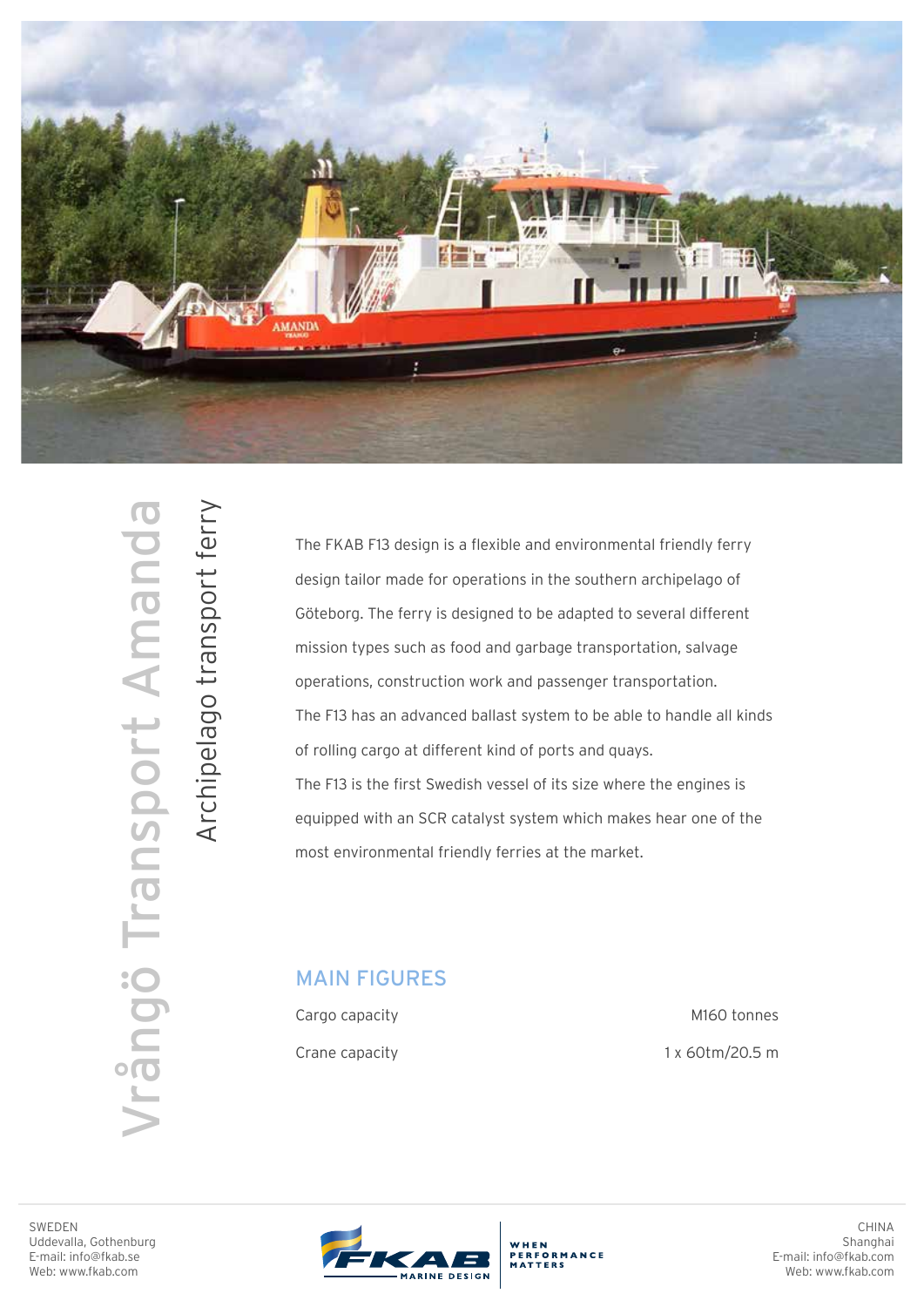

WEDEN<br>BEDDIT AMANDANG TRANSPORT AMANDA<br>E-mai: info@fkab.se<br>E-mai: info@fkab.se **Irângö Transport Amanda**  Archipelago transport ferry

Archipelago transport ferry

The FKAB F13 design is a flexible and environmental friendly ferry design tailor made for operations in the southern archipelago of Göteborg. The ferry is designed to be adapted to several different mission types such as food and garbage transportation, salvage operations, construction work and passenger transportation. The F13 has an advanced ballast system to be able to handle all kinds of rolling cargo at different kind of ports and quays. The F13 is the first Swedish vessel of its size where the engines is equipped with an SCR catalyst system which makes hear one of the most environmental friendly ferries at the market.

## MAIN FIGURES

Cargo capacity Crane capacity

M160 tonnes 1 x 60tm/20.5 m



WHEN<br>PERFORMANCE

CHINA Shanghai E-mail: info@fkab.com Web: www.fkab.com